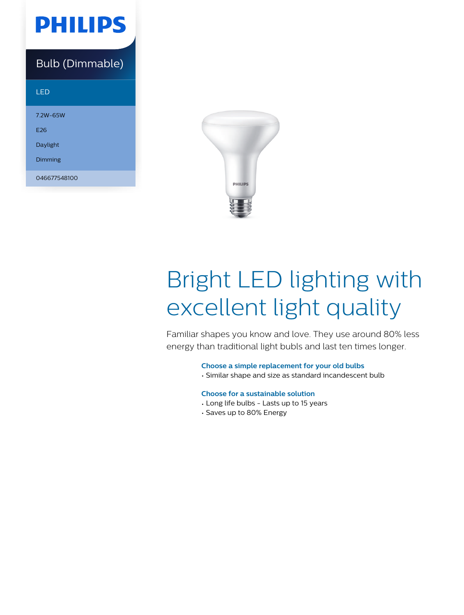

### Bulb (Dimmable)

| LED          |
|--------------|
| 7.2W-65W     |
| F26          |
| Daylight     |
| Dimming      |
| 046677548100 |



# Bright LED lighting with excellent light quality

Familiar shapes you know and love. They use around 80% less energy than traditional light bubls and last ten times longer.

**Choose a simple replacement for your old bulbs**

• Similar shape and size as standard incandescent bulb

#### **Choose for a sustainable solution**

- Long life bulbs Lasts up to 15 years
- Saves up to 80% Energy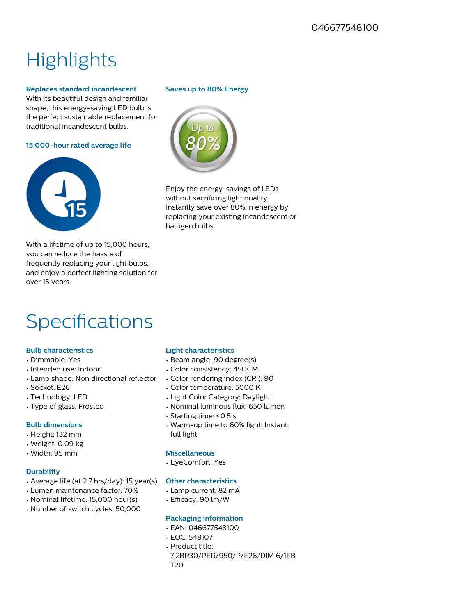## **Highlights**

#### **Replaces standard incandescent**

With its beautiful design and familiar shape, this energy-saving LED bulb is the perfect sustainable replacement for traditional incandescent bulbs.

**15,000-hour rated average life**



With a lifetime of up to 15,000 hours, you can reduce the hassle of frequently replacing your light bulbs, and enjoy a perfect lighting solution for over 15 years.

### Specifications

#### **Bulb characteristics**

- Dimmable: Yes
- Intended use: Indoor
- Lamp shape: Non directional reflector
- Socket: E26
- Technology: LED
- Type of glass: Frosted

#### **Bulb dimensions**

- Height: 132 mm
- Weight: 0.09 kg
- Width: 95 mm

#### **Durability**

- Average life (at 2.7 hrs/day): 15 year(s)
- Lumen maintenance factor: 70%
- Nominal lifetime: 15,000 hour(s)
- Number of switch cycles: 50,000

#### **Saves up to 80% Energy**



Enjoy the energy-savings of LEDs without sacrificing light quality. Instantly save over 80% in energy by replacing your existing incandescent or halogen bulbs

#### **Light characteristics**

- Beam angle: 90 degree(s)
- Color consistency: 4SDCM
- Color rendering index (CRI): 90
- Color temperature: 5000 K
- Light Color Category: Daylight
- Nominal luminous flux: 650 lumen
- Starting time: <0.5 s
- Warm-up time to 60% light: Instant full light

#### **Miscellaneous**

• EyeComfort: Yes

#### **Other characteristics**

- Lamp current: 82 mA
- Efficacy: 90 lm/W

#### **Packaging information**

- EAN: 046677548100
- EOC: 548107
- Product title:
- 7.2BR30/PER/950/P/E26/DIM 6/1FB T20